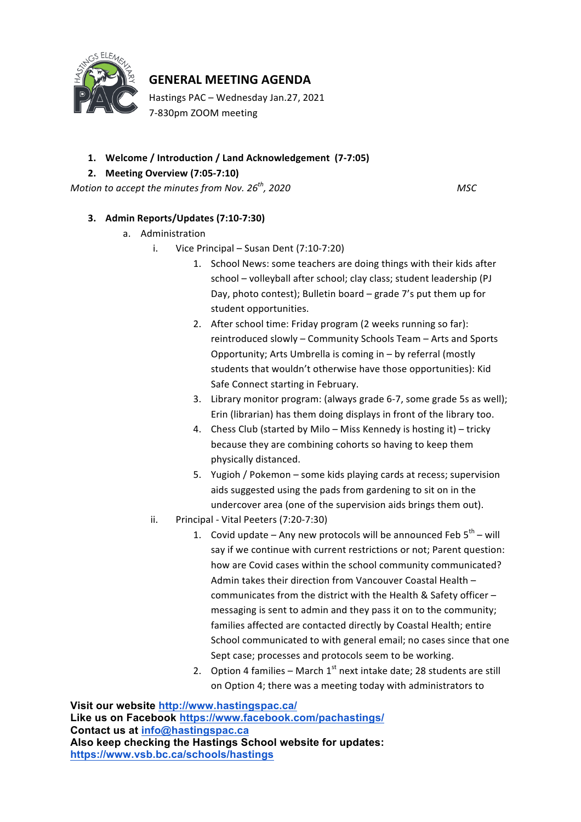

## **GENERAL MEETING AGENDA**

Hastings PAC - Wednesday Jan.27, 2021 7-830pm ZOOM meeting

## 1. Welcome / Introduction / Land Acknowledgement (7-7:05)

## **2. Meeting Overview (7:05-7:10)**

*Motion to accept the minutes from Nov.*  $26^{th}$ , 2020 **MSC** 

## **3. Admin Reports/Updates (7:10-7:30)**

- a. Administration
	- i. Vice Principal  $-$  Susan Dent (7:10-7:20)
		- 1. School News: some teachers are doing things with their kids after school - volleyball after school; clay class; student leadership (PJ Day, photo contest); Bulletin board  $-$  grade  $7$ 's put them up for student opportunities.
		- 2. After school time: Friday program (2 weeks running so far): reintroduced slowly – Community Schools Team – Arts and Sports Opportunity; Arts Umbrella is coming in  $-$  by referral (mostly students that wouldn't otherwise have those opportunities): Kid Safe Connect starting in February.
		- 3. Library monitor program: (always grade 6-7, some grade 5s as well); Erin (librarian) has them doing displays in front of the library too.
		- 4. Chess Club (started by Milo Miss Kennedy is hosting it) tricky because they are combining cohorts so having to keep them physically distanced.
		- 5. Yugioh / Pokemon some kids playing cards at recess; supervision aids suggested using the pads from gardening to sit on in the undercover area (one of the supervision aids brings them out).
	- ii. Principal Vital Peeters (7:20-7:30)
		- 1. Covid update Any new protocols will be announced Feb  $5^{th}$  will say if we continue with current restrictions or not; Parent question: how are Covid cases within the school community communicated? Admin takes their direction from Vancouver Coastal Health – communicates from the district with the Health & Safety officer  $$ messaging is sent to admin and they pass it on to the community; families affected are contacted directly by Coastal Health; entire School communicated to with general email; no cases since that one Sept case; processes and protocols seem to be working.
		- 2. Option 4 families March  $1^{st}$  next intake date; 28 students are still on Option 4; there was a meeting today with administrators to

**Visit our website http://www.hastingspac.ca/ Like us on Facebook https://www.facebook.com/pachastings/ Contact us at info@hastingspac.ca Also keep checking the Hastings School website for updates: https://www.vsb.bc.ca/schools/hastings**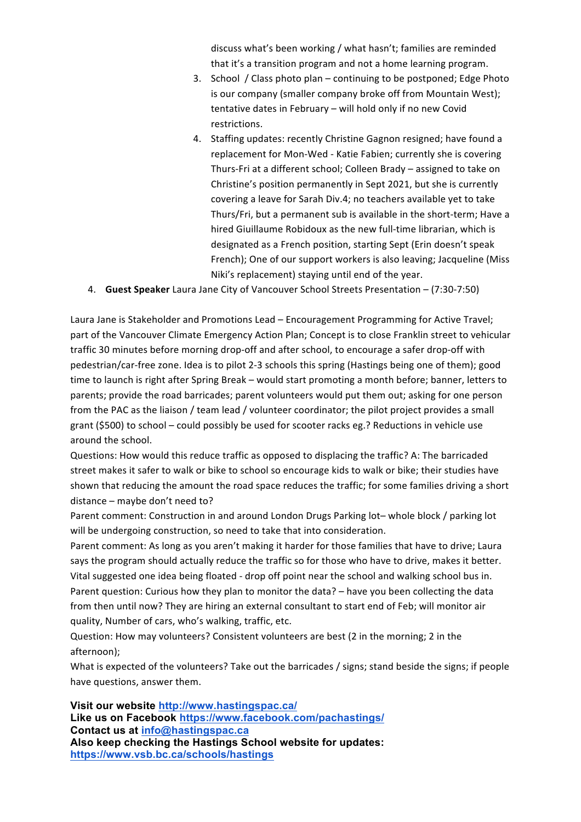discuss what's been working / what hasn't; families are reminded that it's a transition program and not a home learning program.

- 3. School / Class photo plan continuing to be postponed; Edge Photo is our company (smaller company broke off from Mountain West);  $t$ entative dates in February – will hold only if no new Covid restrictions.
- 4. Staffing updates: recently Christine Gagnon resigned; have found a replacement for Mon-Wed - Katie Fabien; currently she is covering Thurs-Fri at a different school; Colleen Brady – assigned to take on Christine's position permanently in Sept 2021, but she is currently covering a leave for Sarah Div.4; no teachers available yet to take Thurs/Fri, but a permanent sub is available in the short-term; Have a hired Giuillaume Robidoux as the new full-time librarian, which is designated as a French position, starting Sept (Erin doesn't speak French); One of our support workers is also leaving; Jacqueline (Miss Niki's replacement) staying until end of the year.
- 4. **Guest Speaker** Laura Jane City of Vancouver School Streets Presentation (7:30-7:50)

Laura Jane is Stakeholder and Promotions Lead – Encouragement Programming for Active Travel; part of the Vancouver Climate Emergency Action Plan; Concept is to close Franklin street to vehicular traffic 30 minutes before morning drop-off and after school, to encourage a safer drop-off with pedestrian/car-free zone. Idea is to pilot 2-3 schools this spring (Hastings being one of them); good time to launch is right after Spring Break – would start promoting a month before; banner, letters to parents; provide the road barricades; parent volunteers would put them out; asking for one person from the PAC as the liaison / team lead / volunteer coordinator; the pilot project provides a small grant  $(5500)$  to school – could possibly be used for scooter racks eg.? Reductions in vehicle use around the school.

Questions: How would this reduce traffic as opposed to displacing the traffic? A: The barricaded street makes it safer to walk or bike to school so encourage kids to walk or bike; their studies have shown that reducing the amount the road space reduces the traffic; for some families driving a short distance  $-$  maybe don't need to?

Parent comment: Construction in and around London Drugs Parking lot-whole block / parking lot will be undergoing construction, so need to take that into consideration.

Parent comment: As long as you aren't making it harder for those families that have to drive; Laura says the program should actually reduce the traffic so for those who have to drive, makes it better. Vital suggested one idea being floated - drop off point near the school and walking school bus in. Parent question: Curious how they plan to monitor the data? – have you been collecting the data from then until now? They are hiring an external consultant to start end of Feb; will monitor air quality, Number of cars, who's walking, traffic, etc.

Question: How may volunteers? Consistent volunteers are best (2 in the morning; 2 in the afternoon); 

What is expected of the volunteers? Take out the barricades / signs; stand beside the signs; if people have questions, answer them.

**Visit our website http://www.hastingspac.ca/ Like us on Facebook https://www.facebook.com/pachastings/ Contact us at info@hastingspac.ca Also keep checking the Hastings School website for updates: https://www.vsb.bc.ca/schools/hastings**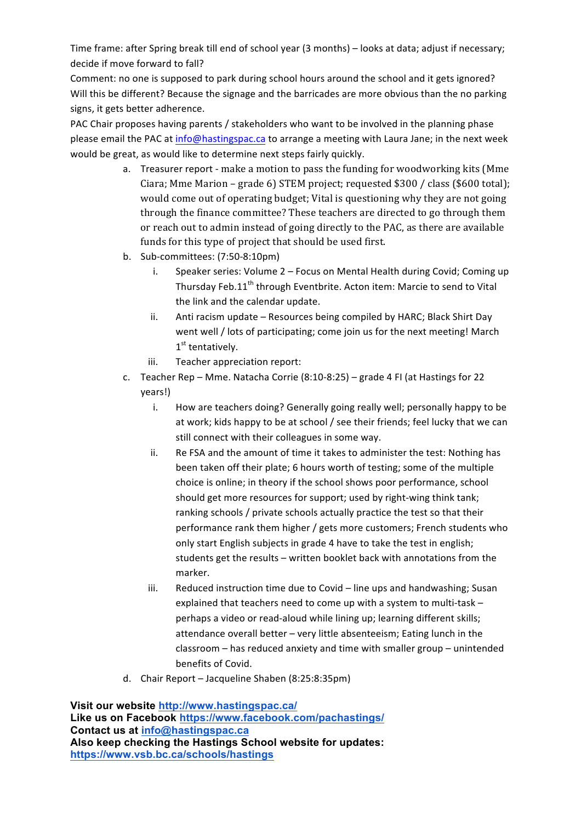Time frame: after Spring break till end of school year (3 months) – looks at data; adjust if necessary; decide if move forward to fall?

Comment: no one is supposed to park during school hours around the school and it gets ignored? Will this be different? Because the signage and the barricades are more obvious than the no parking signs, it gets better adherence.

PAC Chair proposes having parents / stakeholders who want to be involved in the planning phase please email the PAC at info@hastingspac.ca to arrange a meeting with Laura Jane; in the next week would be great, as would like to determine next steps fairly quickly.

- a. Treasurer report make a motion to pass the funding for woodworking kits (Mme Ciara; Mme Marion – grade 6) STEM project; requested  $$300 / class ($600 total);$ would come out of operating budget; Vital is questioning why they are not going through the finance committee? These teachers are directed to go through them or reach out to admin instead of going directly to the PAC, as there are available funds for this type of project that should be used first.
- b. Sub-committees: (7:50-8:10pm)
	- i. Speaker series: Volume 2 Focus on Mental Health during Covid; Coming up Thursday Feb.11<sup>th</sup> through Eventbrite. Acton item: Marcie to send to Vital the link and the calendar update.
	- ii. Anti racism update Resources being compiled by HARC; Black Shirt Day went well / lots of participating; come join us for the next meeting! March 1<sup>st</sup> tentatively.
	- iii. Teacher appreciation report:
- c. Teacher Rep Mme. Natacha Corrie  $(8:10-8:25)$  grade 4 FI (at Hastings for 22 years!)
	- i. How are teachers doing? Generally going really well; personally happy to be at work; kids happy to be at school / see their friends; feel lucky that we can still connect with their colleagues in some way.
	- ii. Re FSA and the amount of time it takes to administer the test: Nothing has been taken off their plate; 6 hours worth of testing; some of the multiple choice is online; in theory if the school shows poor performance, school should get more resources for support; used by right-wing think tank; ranking schools / private schools actually practice the test so that their performance rank them higher / gets more customers; French students who only start English subjects in grade 4 have to take the test in english; students get the results – written booklet back with annotations from the marker.
	- iii. Reduced instruction time due to Covid line ups and handwashing; Susan explained that teachers need to come up with a system to multi-task perhaps a video or read-aloud while lining up; learning different skills; attendance overall better  $-$  very little absenteeism; Eating lunch in the  $classroom$  – has reduced anxiety and time with smaller group – unintended benefits of Covid.
- d. Chair Report Jacqueline Shaben (8:25:8:35pm)